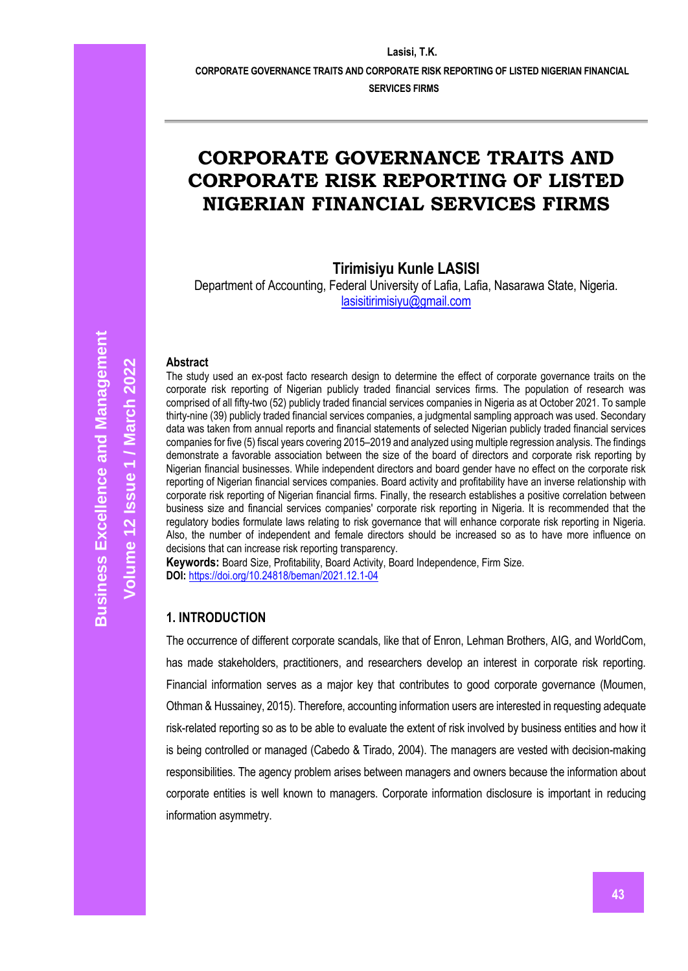**CORPORATE GOVERNANCE TRAITS AND CORPORATE RISK REPORTING OF LISTED NIGERIAN FINANCIAL** 

**SERVICES FIRMS**

# **CORPORATE GOVERNANCE TRAITS AND CORPORATE RISK REPORTING OF LISTED NIGERIAN FINANCIAL SERVICES FIRMS**

**Tirimisiyu Kunle LASISI**

Department of Accounting, Federal University of Lafia, Lafia, Nasarawa State, Nigeria. [lasisitirimisiyu@gmail.com](mailto:lasisitirimisiyu@gmail.com)

#### **Abstract**

The study used an ex-post facto research design to determine the effect of corporate governance traits on the corporate risk reporting of Nigerian publicly traded financial services firms. The population of research was comprised of all fifty-two (52) publicly traded financial services companies in Nigeria as at October 2021. To sample thirty-nine (39) publicly traded financial services companies, a judgmental sampling approach was used. Secondary data was taken from annual reports and financial statements of selected Nigerian publicly traded financial services companies for five (5) fiscal years covering 2015–2019 and analyzed using multiple regression analysis. The findings demonstrate a favorable association between the size of the board of directors and corporate risk reporting by Nigerian financial businesses. While independent directors and board gender have no effect on the corporate risk reporting of Nigerian financial services companies. Board activity and profitability have an inverse relationship with corporate risk reporting of Nigerian financial firms. Finally, the research establishes a positive correlation between business size and financial services companies' corporate risk reporting in Nigeria. It is recommended that the regulatory bodies formulate laws relating to risk governance that will enhance corporate risk reporting in Nigeria. Also, the number of independent and female directors should be increased so as to have more influence on decisions that can increase risk reporting transparency.

**Keywords:** Board Size, Profitability, Board Activity, Board Independence, Firm Size. **DOI:** <https://doi.org/10.24818/beman/2021.12.1-04>

#### **1. INTRODUCTION**

The occurrence of different corporate scandals, like that of Enron, Lehman Brothers, AIG, and WorldCom, has made stakeholders, practitioners, and researchers develop an interest in corporate risk reporting. Financial information serves as a major key that contributes to good corporate governance (Moumen, Othman & Hussainey, 2015). Therefore, accounting information users are interested in requesting adequate risk-related reporting so as to be able to evaluate the extent of risk involved by business entities and how it is being controlled or managed (Cabedo & Tirado, 2004). The managers are vested with decision-making responsibilities. The agency problem arises between managers and owners because the information about corporate entities is well known to managers. Corporate information disclosure is important in reducing information asymmetry.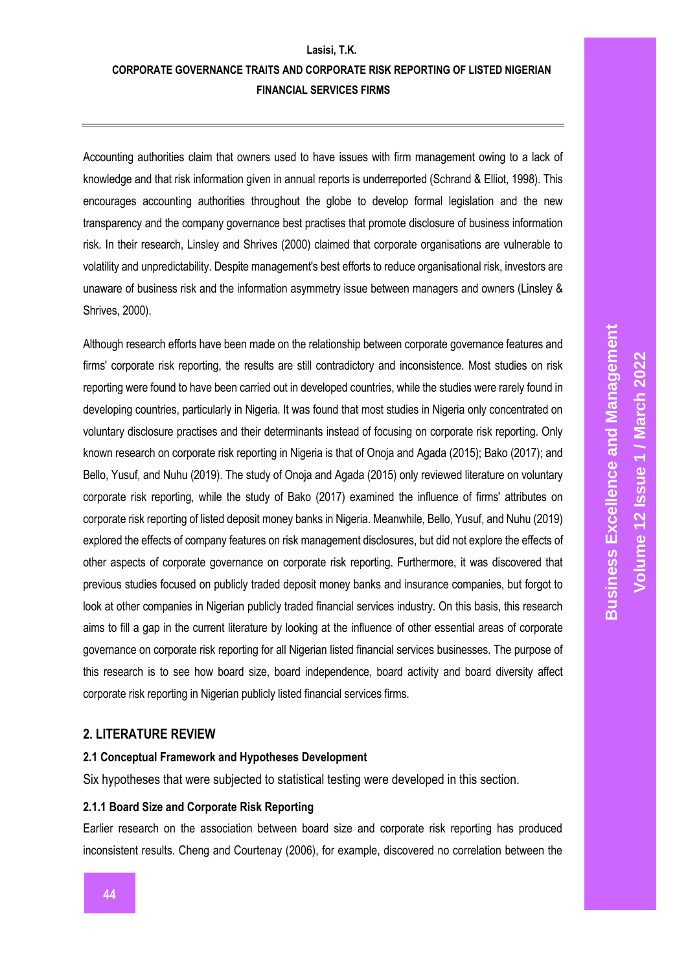Accounting authorities claim that owners used to have issues with firm management owing to a lack of knowledge and that risk information given in annual reports is underreported (Schrand & Elliot, 1998). This encourages accounting authorities throughout the globe to develop formal legislation and the new transparency and the company governance best practises that promote disclosure of business information risk. In their research, Linsley and Shrives (2000) claimed that corporate organisations are vulnerable to volatility and unpredictability. Despite management's best efforts to reduce organisational risk, investors are unaware of business risk and the information asymmetry issue between managers and owners (Linsley & Shrives, 2000).

Although research efforts have been made on the relationship between corporate governance features and firms' corporate risk reporting, the results are still contradictory and inconsistence. Most studies on risk reporting were found to have been carried out in developed countries, while the studies were rarely found in developing countries, particularly in Nigeria. It was found that most studies in Nigeria only concentrated on voluntary disclosure practises and their determinants instead of focusing on corporate risk reporting. Only known research on corporate risk reporting in Nigeria is that of Onoja and Agada (2015); Bako (2017); and Bello, Yusuf, and Nuhu (2019). The study of Onoja and Agada (2015) only reviewed literature on voluntary corporate risk reporting, while the study of Bako (2017) examined the influence of firms' attributes on corporate risk reporting of listed deposit money banks in Nigeria. Meanwhile, Bello, Yusuf, and Nuhu (2019) explored the effects of company features on risk management disclosures, but did not explore the effects of other aspects of corporate governance on corporate risk reporting. Furthermore, it was discovered that previous studies focused on publicly traded deposit money banks and insurance companies, but forgot to look at other companies in Nigerian publicly traded financial services industry. On this basis, this research aims to fill a gap in the current literature by looking at the influence of other essential areas of corporate governance on corporate risk reporting for all Nigerian listed financial services businesses. The purpose of this research is to see how board size, board independence, board activity and board diversity affect corporate risk reporting in Nigerian publicly listed financial services firms.

### **2. LITERATURE REVIEW**

#### **2.1 Conceptual Framework and Hypotheses Development**

Six hypotheses that were subjected to statistical testing were developed in this section.

#### **2.1.1 Board Size and Corporate Risk Reporting**

Earlier research on the association between board size and corporate risk reporting has produced inconsistent results. Cheng and Courtenay (2006), for example, discovered no correlation between the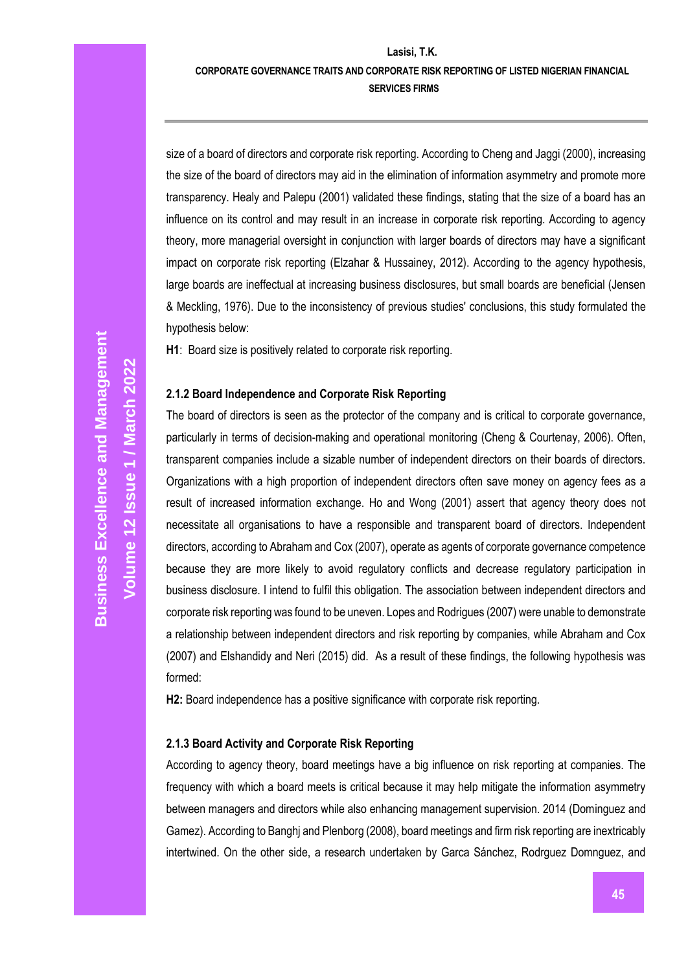#### **CORPORATE GOVERNANCE TRAITS AND CORPORATE RISK REPORTING OF LISTED NIGERIAN FINANCIAL SERVICES FIRMS**

size of a board of directors and corporate risk reporting. According to Cheng and Jaggi (2000), increasing the size of the board of directors may aid in the elimination of information asymmetry and promote more transparency. Healy and Palepu (2001) validated these findings, stating that the size of a board has an influence on its control and may result in an increase in corporate risk reporting. According to agency theory, more managerial oversight in conjunction with larger boards of directors may have a significant impact on corporate risk reporting (Elzahar & Hussainey, 2012). According to the agency hypothesis, large boards are ineffectual at increasing business disclosures, but small boards are beneficial (Jensen & Meckling, 1976). Due to the inconsistency of previous studies' conclusions, this study formulated the hypothesis below:

**H1**: Board size is positively related to corporate risk reporting.

#### **2.1.2 Board Independence and Corporate Risk Reporting**

The board of directors is seen as the protector of the company and is critical to corporate governance, particularly in terms of decision-making and operational monitoring (Cheng & Courtenay, 2006). Often, transparent companies include a sizable number of independent directors on their boards of directors. Organizations with a high proportion of independent directors often save money on agency fees as a result of increased information exchange. Ho and Wong (2001) assert that agency theory does not necessitate all organisations to have a responsible and transparent board of directors. Independent directors, according to Abraham and Cox (2007), operate as agents of corporate governance competence because they are more likely to avoid regulatory conflicts and decrease regulatory participation in business disclosure. I intend to fulfil this obligation. The association between independent directors and corporate risk reporting was found to be uneven. Lopes and Rodrigues (2007) were unable to demonstrate a relationship between independent directors and risk reporting by companies, while Abraham and Cox (2007) and Elshandidy and Neri (2015) did. As a result of these findings, the following hypothesis was formed:

**H2:** Board independence has a positive significance with corporate risk reporting.

#### **2.1.3 Board Activity and Corporate Risk Reporting**

According to agency theory, board meetings have a big influence on risk reporting at companies. The frequency with which a board meets is critical because it may help mitigate the information asymmetry between managers and directors while also enhancing management supervision. 2014 (Dominguez and Gamez). According to Banghj and Plenborg (2008), board meetings and firm risk reporting are inextricably intertwined. On the other side, a research undertaken by Garca Sánchez, Rodrguez Domnguez, and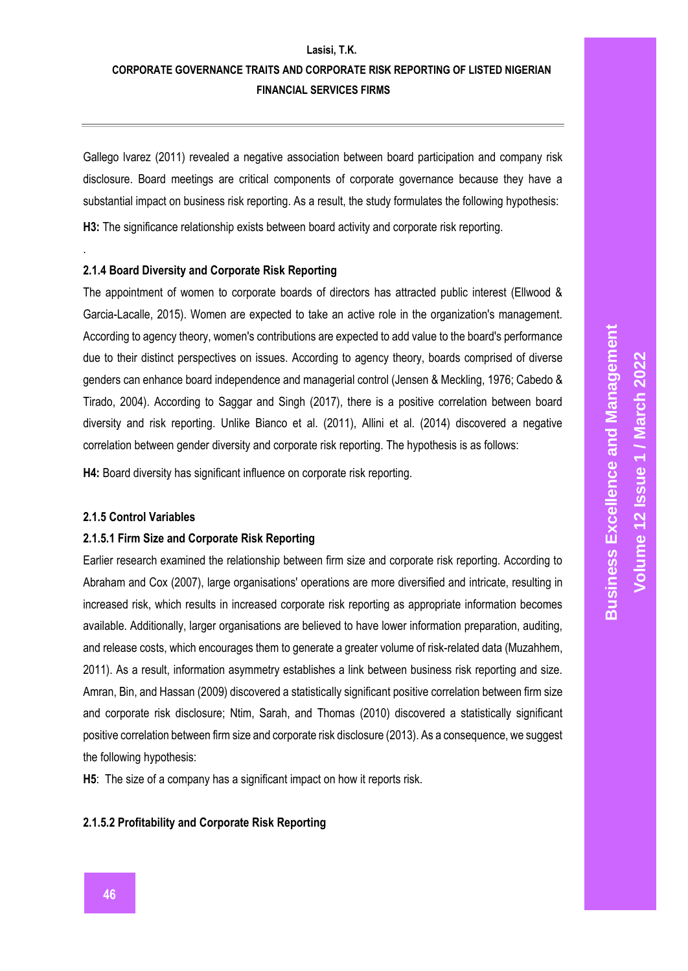## **Lasisi, T.K. CORPORATE GOVERNANCE TRAITS AND CORPORATE RISK REPORTING OF LISTED NIGERIAN FINANCIAL SERVICES FIRMS**

Gallego lvarez (2011) revealed a negative association between board participation and company risk disclosure. Board meetings are critical components of corporate governance because they have a substantial impact on business risk reporting. As a result, the study formulates the following hypothesis: **H3:** The significance relationship exists between board activity and corporate risk reporting.

#### **2.1.4 Board Diversity and Corporate Risk Reporting**

The appointment of women to corporate boards of directors has attracted public interest (Ellwood & Garcia-Lacalle, 2015). Women are expected to take an active role in the organization's management. According to agency theory, women's contributions are expected to add value to the board's performance due to their distinct perspectives on issues. According to agency theory, boards comprised of diverse genders can enhance board independence and managerial control (Jensen & Meckling, 1976; Cabedo & Tirado, 2004). According to Saggar and Singh (2017), there is a positive correlation between board diversity and risk reporting. Unlike Bianco et al. (2011), Allini et al. (2014) discovered a negative correlation between gender diversity and corporate risk reporting. The hypothesis is as follows:

**H4:** Board diversity has significant influence on corporate risk reporting.

#### **2.1.5 Control Variables**

.

#### **2.1.5.1 Firm Size and Corporate Risk Reporting**

Earlier research examined the relationship between firm size and corporate risk reporting. According to Abraham and Cox (2007), large organisations' operations are more diversified and intricate, resulting in increased risk, which results in increased corporate risk reporting as appropriate information becomes available. Additionally, larger organisations are believed to have lower information preparation, auditing, and release costs, which encourages them to generate a greater volume of risk-related data (Muzahhem, 2011). As a result, information asymmetry establishes a link between business risk reporting and size. Amran, Bin, and Hassan (2009) discovered a statistically significant positive correlation between firm size and corporate risk disclosure; Ntim, Sarah, and Thomas (2010) discovered a statistically significant positive correlation between firm size and corporate risk disclosure (2013). As a consequence, we suggest the following hypothesis:

**H5**: The size of a company has a significant impact on how it reports risk.

#### **2.1.5.2 Profitability and Corporate Risk Reporting**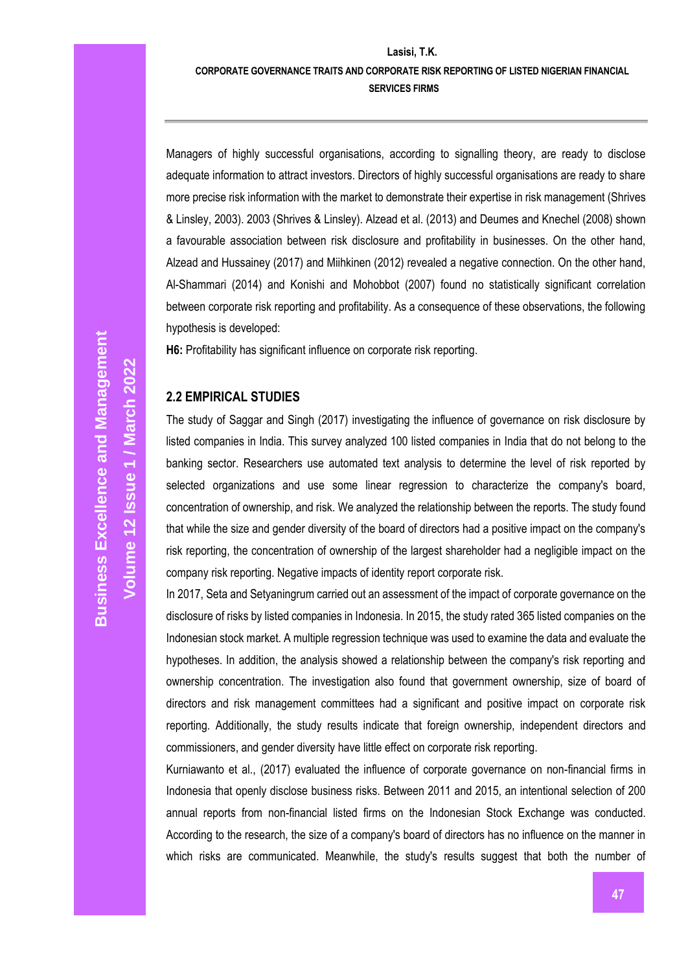# **CORPORATE GOVERNANCE TRAITS AND CORPORATE RISK REPORTING OF LISTED NIGERIAN FINANCIAL**

**SERVICES FIRMS**

Managers of highly successful organisations, according to signalling theory, are ready to disclose adequate information to attract investors. Directors of highly successful organisations are ready to share more precise risk information with the market to demonstrate their expertise in risk management (Shrives & Linsley, 2003). 2003 (Shrives & Linsley). Alzead et al. (2013) and Deumes and Knechel (2008) shown a favourable association between risk disclosure and profitability in businesses. On the other hand, Alzead and Hussainey (2017) and Miihkinen (2012) revealed a negative connection. On the other hand, Al-Shammari (2014) and Konishi and Mohobbot (2007) found no statistically significant correlation between corporate risk reporting and profitability. As a consequence of these observations, the following hypothesis is developed:

**H6:** Profitability has significant influence on corporate risk reporting.

#### **2.2 EMPIRICAL STUDIES**

The study of Saggar and Singh (2017) investigating the influence of governance on risk disclosure by listed companies in India. This survey analyzed 100 listed companies in India that do not belong to the banking sector. Researchers use automated text analysis to determine the level of risk reported by selected organizations and use some linear regression to characterize the company's board, concentration of ownership, and risk. We analyzed the relationship between the reports. The study found that while the size and gender diversity of the board of directors had a positive impact on the company's risk reporting, the concentration of ownership of the largest shareholder had a negligible impact on the company risk reporting. Negative impacts of identity report corporate risk.

In 2017, Seta and Setyaningrum carried out an assessment of the impact of corporate governance on the disclosure of risks by listed companies in Indonesia. In 2015, the study rated 365 listed companies on the Indonesian stock market. A multiple regression technique was used to examine the data and evaluate the hypotheses. In addition, the analysis showed a relationship between the company's risk reporting and ownership concentration. The investigation also found that government ownership, size of board of directors and risk management committees had a significant and positive impact on corporate risk reporting. Additionally, the study results indicate that foreign ownership, independent directors and commissioners, and gender diversity have little effect on corporate risk reporting.

Kurniawanto et al., (2017) evaluated the influence of corporate governance on non-financial firms in Indonesia that openly disclose business risks. Between 2011 and 2015, an intentional selection of 200 annual reports from non-financial listed firms on the Indonesian Stock Exchange was conducted. According to the research, the size of a company's board of directors has no influence on the manner in which risks are communicated. Meanwhile, the study's results suggest that both the number of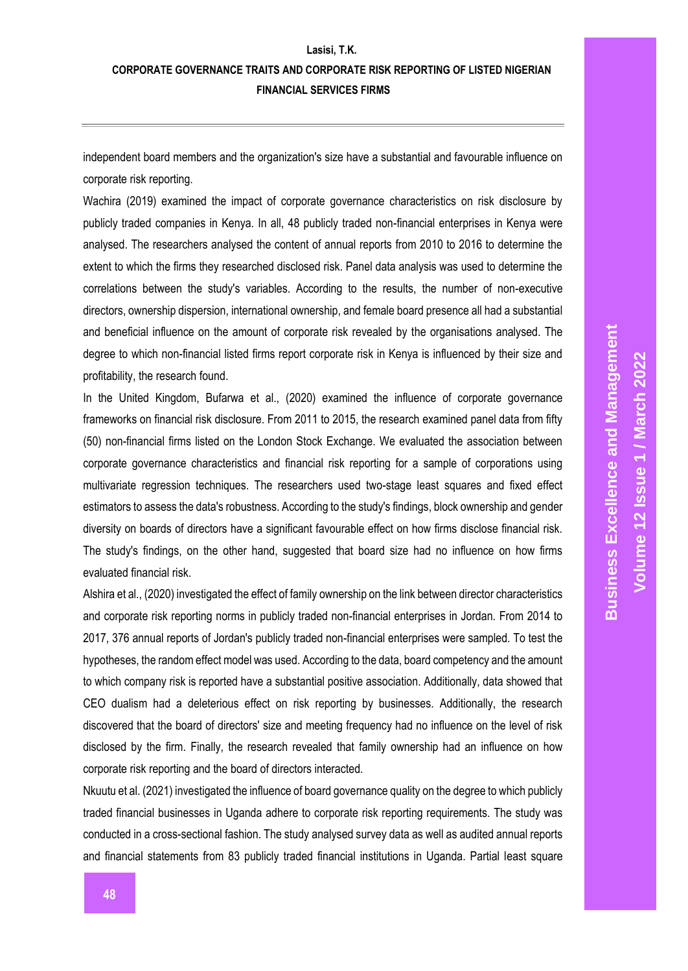independent board members and the organization's size have a substantial and favourable influence on corporate risk reporting.

Wachira (2019) examined the impact of corporate governance characteristics on risk disclosure by publicly traded companies in Kenya. In all, 48 publicly traded non-financial enterprises in Kenya were analysed. The researchers analysed the content of annual reports from 2010 to 2016 to determine the extent to which the firms they researched disclosed risk. Panel data analysis was used to determine the correlations between the study's variables. According to the results, the number of non-executive directors, ownership dispersion, international ownership, and female board presence all had a substantial and beneficial influence on the amount of corporate risk revealed by the organisations analysed. The degree to which non-financial listed firms report corporate risk in Kenya is influenced by their size and profitability, the research found.

In the United Kingdom, Bufarwa et al., (2020) examined the influence of corporate governance frameworks on financial risk disclosure. From 2011 to 2015, the research examined panel data from fifty (50) non-financial firms listed on the London Stock Exchange. We evaluated the association between corporate governance characteristics and financial risk reporting for a sample of corporations using multivariate regression techniques. The researchers used two-stage least squares and fixed effect estimators to assess the data's robustness. According to the study's findings, block ownership and gender diversity on boards of directors have a significant favourable effect on how firms disclose financial risk. The study's findings, on the other hand, suggested that board size had no influence on how firms evaluated financial risk.

Alshira et al., (2020) investigated the effect of family ownership on the link between director characteristics and corporate risk reporting norms in publicly traded non-financial enterprises in Jordan. From 2014 to 2017, 376 annual reports of Jordan's publicly traded non-financial enterprises were sampled. To test the hypotheses, the random effect model was used. According to the data, board competency and the amount to which company risk is reported have a substantial positive association. Additionally, data showed that CEO dualism had a deleterious effect on risk reporting by businesses. Additionally, the research discovered that the board of directors' size and meeting frequency had no influence on the level of risk disclosed by the firm. Finally, the research revealed that family ownership had an influence on how corporate risk reporting and the board of directors interacted.

Nkuutu et al. (2021) investigated the influence of board governance quality on the degree to which publicly traded financial businesses in Uganda adhere to corporate risk reporting requirements. The study was conducted in a cross-sectional fashion. The study analysed survey data as well as audited annual reports and financial statements from 83 publicly traded financial institutions in Uganda. Partial least square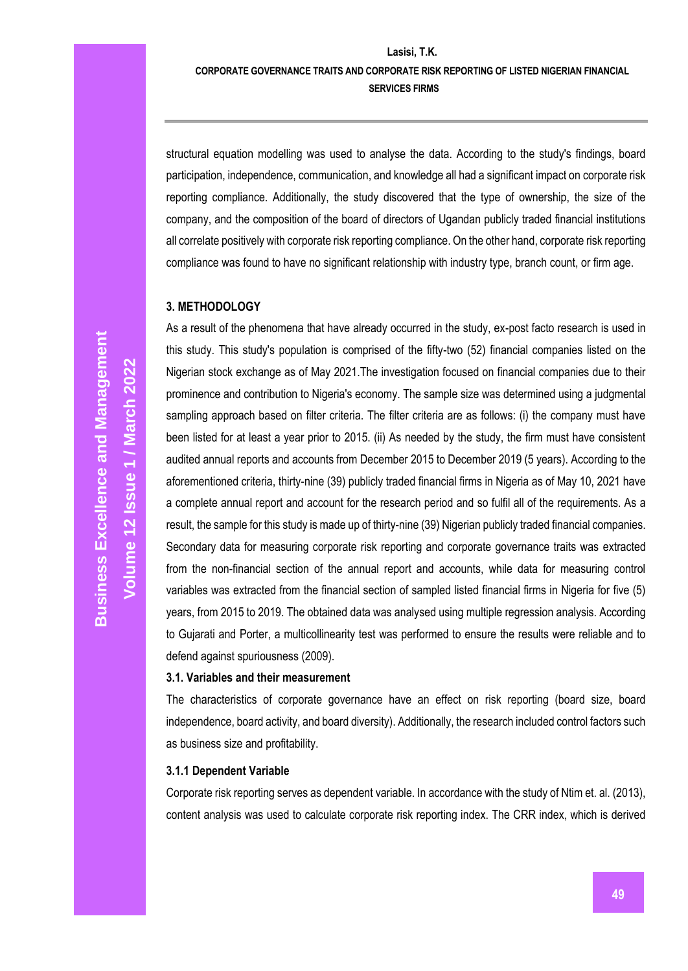#### **CORPORATE GOVERNANCE TRAITS AND CORPORATE RISK REPORTING OF LISTED NIGERIAN FINANCIAL SERVICES FIRMS**

structural equation modelling was used to analyse the data. According to the study's findings, board participation, independence, communication, and knowledge all had a significant impact on corporate risk reporting compliance. Additionally, the study discovered that the type of ownership, the size of the company, and the composition of the board of directors of Ugandan publicly traded financial institutions all correlate positively with corporate risk reporting compliance. On the other hand, corporate risk reporting compliance was found to have no significant relationship with industry type, branch count, or firm age.

#### **3. METHODOLOGY**

As a result of the phenomena that have already occurred in the study, ex-post facto research is used in this study. This study's population is comprised of the fifty-two (52) financial companies listed on the Nigerian stock exchange as of May 2021.The investigation focused on financial companies due to their prominence and contribution to Nigeria's economy. The sample size was determined using a judgmental sampling approach based on filter criteria. The filter criteria are as follows: (i) the company must have been listed for at least a year prior to 2015. (ii) As needed by the study, the firm must have consistent audited annual reports and accounts from December 2015 to December 2019 (5 years). According to the aforementioned criteria, thirty-nine (39) publicly traded financial firms in Nigeria as of May 10, 2021 have a complete annual report and account for the research period and so fulfil all of the requirements. As a result, the sample for this study is made up of thirty-nine (39) Nigerian publicly traded financial companies. Secondary data for measuring corporate risk reporting and corporate governance traits was extracted from the non-financial section of the annual report and accounts, while data for measuring control variables was extracted from the financial section of sampled listed financial firms in Nigeria for five (5) years, from 2015 to 2019. The obtained data was analysed using multiple regression analysis. According to Gujarati and Porter, a multicollinearity test was performed to ensure the results were reliable and to defend against spuriousness (2009).

#### **3.1. Variables and their measurement**

The characteristics of corporate governance have an effect on risk reporting (board size, board independence, board activity, and board diversity). Additionally, the research included control factors such as business size and profitability.

#### **3.1.1 Dependent Variable**

Corporate risk reporting serves as dependent variable. In accordance with the study of Ntim et. al. (2013), content analysis was used to calculate corporate risk reporting index. The CRR index, which is derived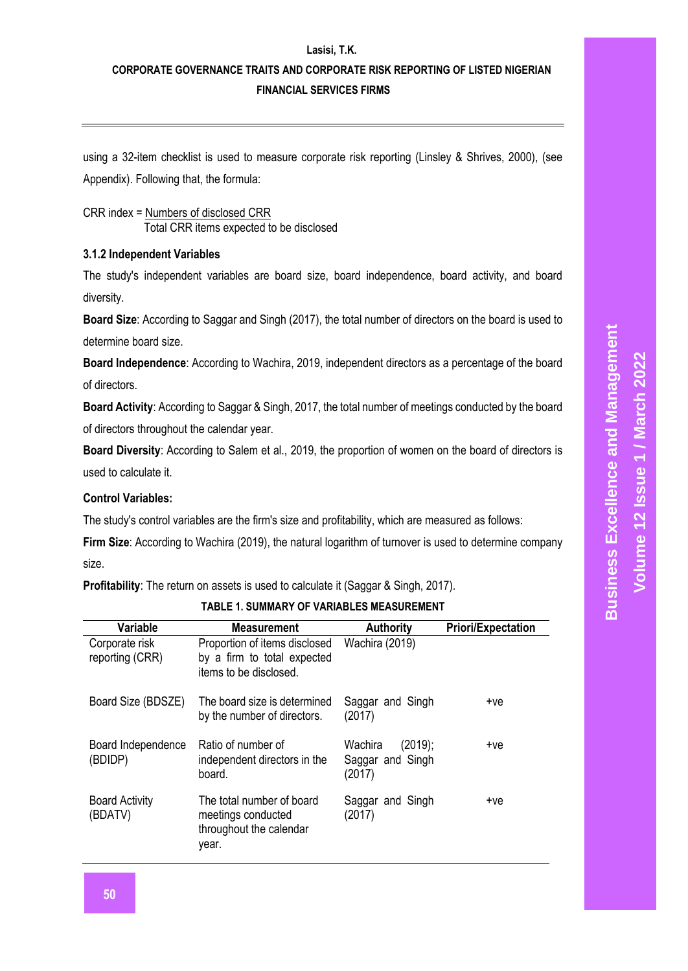### **CORPORATE GOVERNANCE TRAITS AND CORPORATE RISK REPORTING OF LISTED NIGERIAN FINANCIAL SERVICES FIRMS**

using a 32-item checklist is used to measure corporate risk reporting (Linsley & Shrives, 2000), (see Appendix). Following that, the formula:

CRR index = Numbers of disclosed CRR Total CRR items expected to be disclosed

#### **3.1.2 Independent Variables**

The study's independent variables are board size, board independence, board activity, and board diversity.

**Board Size**: According to Saggar and Singh (2017), the total number of directors on the board is used to determine board size.

**Board Independence**: According to Wachira, 2019, independent directors as a percentage of the board of directors.

**Board Activity**: According to Saggar & Singh, 2017, the total number of meetings conducted by the board of directors throughout the calendar year.

**Board Diversity**: According to Salem et al., 2019, the proportion of women on the board of directors is used to calculate it.

### **Control Variables:**

The study's control variables are the firm's size and profitability, which are measured as follows:

**Firm Size**: According to Wachira (2019), the natural logarithm of turnover is used to determine company size.

**Profitability**: The return on assets is used to calculate it (Saggar & Singh, 2017).

| Variable                          | <b>Measurement</b>                                                                     | <b>Authority</b>                                 | <b>Priori/Expectation</b> |
|-----------------------------------|----------------------------------------------------------------------------------------|--------------------------------------------------|---------------------------|
| Corporate risk<br>reporting (CRR) | Proportion of items disclosed<br>by a firm to total expected<br>items to be disclosed. | Wachira (2019)                                   |                           |
| Board Size (BDSZE)                | The board size is determined<br>by the number of directors.                            | Saggar and Singh<br>(2017)                       | +ve                       |
| Board Independence<br>(BDIDP)     | Ratio of number of<br>independent directors in the<br>board.                           | (2019);<br>Wachira<br>Saggar and Singh<br>(2017) | $+ve$                     |
| <b>Board Activity</b><br>(BDATV)  | The total number of board<br>meetings conducted<br>throughout the calendar<br>year.    | Saggar and Singh<br>(2017)                       | $+ve$                     |

**TABLE 1. SUMMARY OF VARIABLES MEASUREMENT**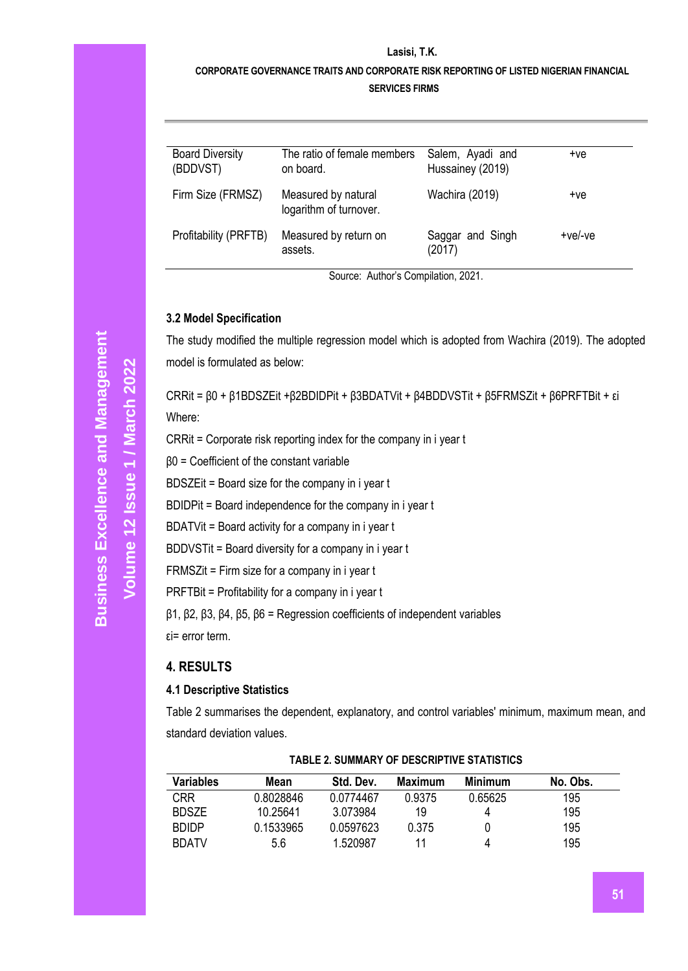# **CORPORATE GOVERNANCE TRAITS AND CORPORATE RISK REPORTING OF LISTED NIGERIAN FINANCIAL**

**SERVICES FIRMS**

| <b>Board Diversity</b><br>(BDDVST) | The ratio of female members<br>on board.      | Salem, Ayadi and<br>Hussainey (2019) | $+ve$     |
|------------------------------------|-----------------------------------------------|--------------------------------------|-----------|
| Firm Size (FRMSZ)                  | Measured by natural<br>logarithm of turnover. | Wachira (2019)                       | $+ve$     |
| Profitability (PRFTB)              | Measured by return on<br>assets.              | Saggar and Singh<br>(2017)           | $+ve/-ve$ |

Source: Author's Compilation, 2021.

#### **3.2 Model Specification**

The study modified the multiple regression model which is adopted from Wachira (2019). The adopted model is formulated as below:

CRRit = β0 + β1BDSZEit +β2BDIDPit + β3BDATVit + β4BDDVSTit + β5FRMSZit + β6PRFTBit + εi Where:

CRRit = Corporate risk reporting index for the company in i year t

β0 = Coefficient of the constant variable

BDSZEit = Board size for the company in i year t

BDIDPit = Board independence for the company in i year t

BDATVit = Board activity for a company in i year t

BDDVSTit = Board diversity for a company in i year t

FRMSZit = Firm size for a company in i year t

PRFTBit = Profitability for a company in i year t

β1, β2, β3, β4, β5, β6 = Regression coefficients of independent variables

εi= error term.

### **4. RESULTS**

### **4.1 Descriptive Statistics**

Table 2 summarises the dependent, explanatory, and control variables' minimum, maximum mean, and standard deviation values.

| <b>Variables</b> | Mean      | Std. Dev. | Maximum | Minimum | No. Obs. |
|------------------|-----------|-----------|---------|---------|----------|
| <b>CRR</b>       | 0.8028846 | 0.0774467 | 0.9375  | 0.65625 | 195      |
| <b>BDSZE</b>     | 10.25641  | 3.073984  | 19      |         | 195      |
| <b>BDIDP</b>     | 0.1533965 | 0.0597623 | 0.375   |         | 195      |
| <b>BDATV</b>     | 5.6       | 1.520987  | 11      | 4       | 195      |

#### **TABLE 2. SUMMARY OF DESCRIPTIVE STATISTICS**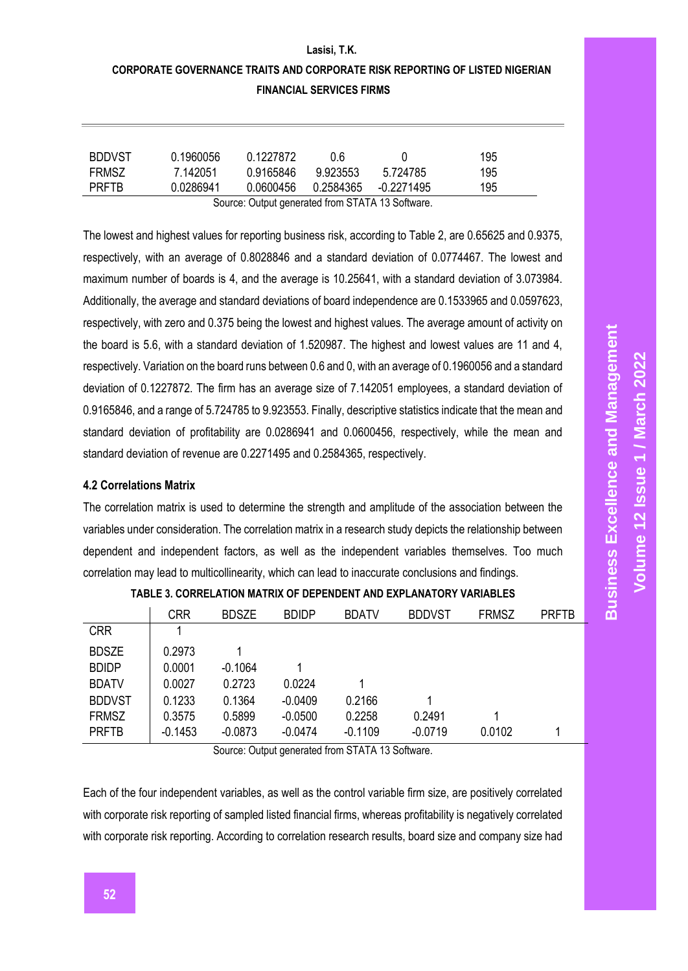# **CORPORATE GOVERNANCE TRAITS AND CORPORATE RISK REPORTING OF LISTED NIGERIAN FINANCIAL SERVICES FIRMS**

**Lasisi, T.K.**

| <b>BDDVST</b> | 0.1960056 | 0.1227872                                        | ០ 6       |            | 195 |
|---------------|-----------|--------------------------------------------------|-----------|------------|-----|
| <b>FRMSZ</b>  | 7.142051  | 0.9165846                                        | 9.923553  | 5 724785   | 195 |
| <b>PRFTB</b>  | 0 0286941 | 0.0600456                                        | 0.2584365 | -0 2271495 | 195 |
|               |           | Course Output generated from CTATA 12 Cofference |           |            |     |

Source: Output generated from STATA 13 Software.

The lowest and highest values for reporting business risk, according to Table 2, are 0.65625 and 0.9375, respectively, with an average of 0.8028846 and a standard deviation of 0.0774467. The lowest and maximum number of boards is 4, and the average is 10.25641, with a standard deviation of 3.073984. Additionally, the average and standard deviations of board independence are 0.1533965 and 0.0597623, respectively, with zero and 0.375 being the lowest and highest values. The average amount of activity on the board is 5.6, with a standard deviation of 1.520987. The highest and lowest values are 11 and 4, respectively. Variation on the board runs between 0.6 and 0, with an average of 0.1960056 and a standard deviation of 0.1227872. The firm has an average size of 7.142051 employees, a standard deviation of 0.9165846, and a range of 5.724785 to 9.923553. Finally, descriptive statistics indicate that the mean and standard deviation of profitability are 0.0286941 and 0.0600456, respectively, while the mean and standard deviation of revenue are 0.2271495 and 0.2584365, respectively.

#### **4.2 Correlations Matrix**

The correlation matrix is used to determine the strength and amplitude of the association between the variables under consideration. The correlation matrix in a research study depicts the relationship between dependent and independent factors, as well as the independent variables themselves. Too much correlation may lead to multicollinearity, which can lead to inaccurate conclusions and findings.

|               | <b>CRR</b> | <b>BDSZE</b> | <b>BDIDP</b> | <b>BDATV</b> | <b>BDDVST</b> | <b>FRMSZ</b> | <b>PRFTB</b> |
|---------------|------------|--------------|--------------|--------------|---------------|--------------|--------------|
| <b>CRR</b>    |            |              |              |              |               |              |              |
| <b>BDSZE</b>  | 0.2973     |              |              |              |               |              |              |
| <b>BDIDP</b>  | 0.0001     | $-0.1064$    |              |              |               |              |              |
| <b>BDATV</b>  | 0.0027     | 0.2723       | 0.0224       |              |               |              |              |
| <b>BDDVST</b> | 0.1233     | 0.1364       | $-0.0409$    | 0.2166       |               |              |              |
| <b>FRMSZ</b>  | 0.3575     | 0.5899       | $-0.0500$    | 0.2258       | 0.2491        |              |              |
| <b>PRFTB</b>  | $-0.1453$  | $-0.0873$    | $-0.0474$    | $-0.1109$    | $-0.0719$     | 0.0102       | 1            |

Source: Output generated from STATA 13 Software.

Each of the four independent variables, as well as the control variable firm size, are positively correlated with corporate risk reporting of sampled listed financial firms, whereas profitability is negatively correlated with corporate risk reporting. According to correlation research results, board size and company size had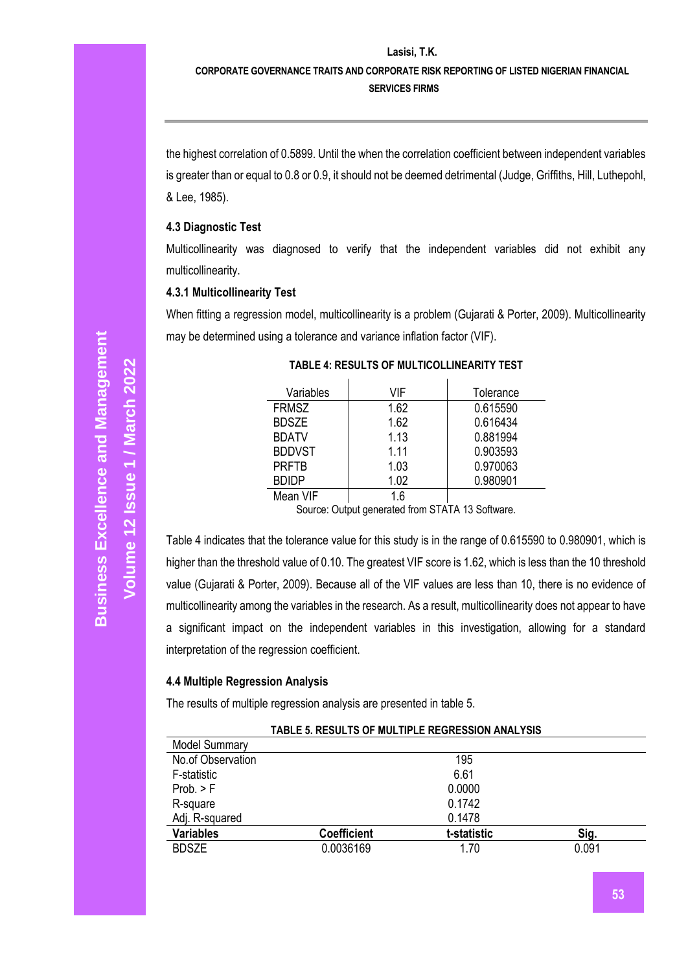#### **CORPORATE GOVERNANCE TRAITS AND CORPORATE RISK REPORTING OF LISTED NIGERIAN FINANCIAL SERVICES FIRMS**

the highest correlation of 0.5899. Until the when the correlation coefficient between independent variables is greater than or equal to 0.8 or 0.9, it should not be deemed detrimental (Judge, Griffiths, Hill, Luthepohl, & Lee, 1985).

#### **4.3 Diagnostic Test**

Multicollinearity was diagnosed to verify that the independent variables did not exhibit any multicollinearity.

#### **4.3.1 Multicollinearity Test**

When fitting a regression model, multicollinearity is a problem (Gujarati & Porter, 2009). Multicollinearity may be determined using a tolerance and variance inflation factor (VIF).

| Variables     | VIF  | Tolerance |
|---------------|------|-----------|
| <b>FRMSZ</b>  | 1.62 | 0.615590  |
| <b>BDSZE</b>  | 1.62 | 0.616434  |
| <b>BDATV</b>  | 1.13 | 0.881994  |
| <b>BDDVST</b> | 1.11 | 0.903593  |
| <b>PRFTB</b>  | 1.03 | 0.970063  |
| <b>BDIDP</b>  | 1.02 | 0.980901  |
| Mean VIF      | 1.6  |           |

#### **TABLE 4: RESULTS OF MULTICOLLINEARITY TEST**

Source: Output generated from STATA 13 Software.

Table 4 indicates that the tolerance value for this study is in the range of 0.615590 to 0.980901, which is higher than the threshold value of 0.10. The greatest VIF score is 1.62, which is less than the 10 threshold value (Gujarati & Porter, 2009). Because all of the VIF values are less than 10, there is no evidence of multicollinearity among the variables in the research. As a result, multicollinearity does not appear to have a significant impact on the independent variables in this investigation, allowing for a standard interpretation of the regression coefficient.

#### **4.4 Multiple Regression Analysis**

The results of multiple regression analysis are presented in table 5.

|                      | TADLE 3. RESULTS OF MULTIPLE REGRESSION ANALTSIS |             |       |
|----------------------|--------------------------------------------------|-------------|-------|
| <b>Model Summary</b> |                                                  |             |       |
| No.of Observation    |                                                  | 195         |       |
| F-statistic          |                                                  | 6.61        |       |
| Prob. > F            |                                                  | 0.0000      |       |
| R-square             |                                                  | 0.1742      |       |
| Adj. R-squared       |                                                  | 0.1478      |       |
| <b>Variables</b>     | <b>Coefficient</b>                               | t-statistic | Sig.  |
| <b>BDSZE</b>         | 0.0036169                                        | 1.70        | 0.091 |

**TABLE 5. RESULTS OF MULTIPLE REGRESSION ANALYSIS**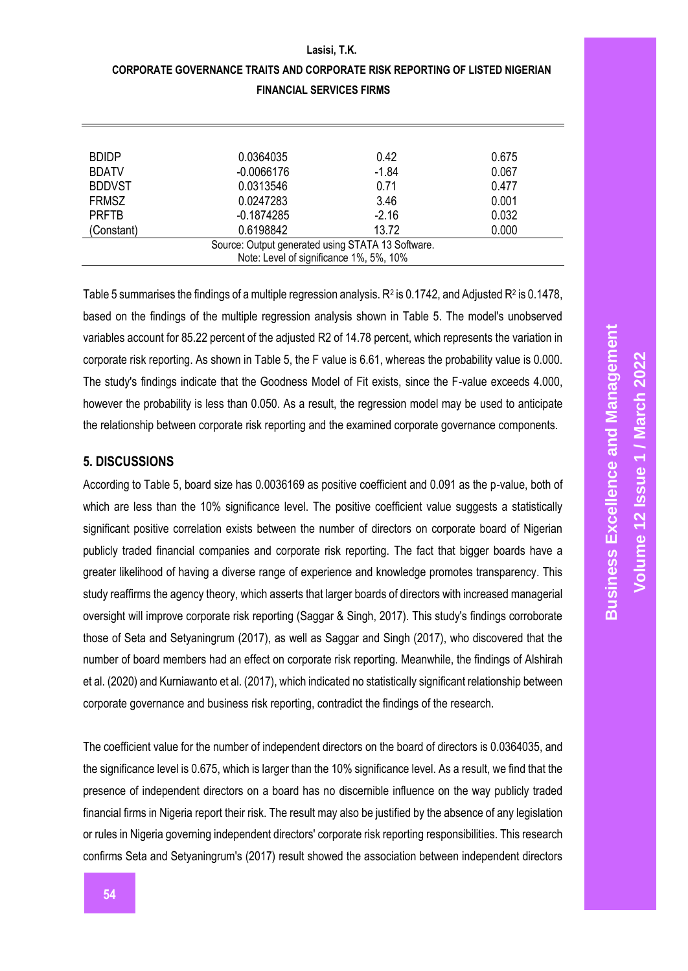| CORPORATE GOVERNANCE TRAITS AND CORPORATE RISK REPORTING OF LISTED NIGERIAN |
|-----------------------------------------------------------------------------|
| <b>FINANCIAL SERVICES FIRMS</b>                                             |

| <b>BDIDP</b>  | 0.0364035                                         | 0.42    | 0.675 |
|---------------|---------------------------------------------------|---------|-------|
| <b>BDATV</b>  | $-0.0066176$                                      | $-1.84$ | 0.067 |
| <b>BDDVST</b> | 0.0313546                                         | 0.71    | 0.477 |
| <b>FRMSZ</b>  | 0.0247283                                         | 3.46    | 0.001 |
| <b>PRFTB</b>  | $-0.1874285$                                      | $-2.16$ | 0.032 |
| (Constant)    | 0.6198842                                         | 13.72   | 0.000 |
|               | Source: Output generated using STATA 13 Software. |         |       |
|               | Note: Level of significance 1%, 5%, 10%           |         |       |

Table 5 summarises the findings of a multiple regression analysis.  $R^2$  is 0.1742, and Adjusted  $R^2$  is 0.1478, based on the findings of the multiple regression analysis shown in Table 5. The model's unobserved variables account for 85.22 percent of the adjusted R2 of 14.78 percent, which represents the variation in corporate risk reporting. As shown in Table 5, the F value is 6.61, whereas the probability value is 0.000. The study's findings indicate that the Goodness Model of Fit exists, since the F-value exceeds 4.000, however the probability is less than 0.050. As a result, the regression model may be used to anticipate the relationship between corporate risk reporting and the examined corporate governance components.

#### **5. DISCUSSIONS**

According to Table 5, board size has 0.0036169 as positive coefficient and 0.091 as the p-value, both of which are less than the 10% significance level. The positive coefficient value suggests a statistically significant positive correlation exists between the number of directors on corporate board of Nigerian publicly traded financial companies and corporate risk reporting. The fact that bigger boards have a greater likelihood of having a diverse range of experience and knowledge promotes transparency. This study reaffirms the agency theory, which asserts that larger boards of directors with increased managerial oversight will improve corporate risk reporting (Saggar & Singh, 2017). This study's findings corroborate those of Seta and Setyaningrum (2017), as well as Saggar and Singh (2017), who discovered that the number of board members had an effect on corporate risk reporting. Meanwhile, the findings of Alshirah et al. (2020) and Kurniawanto et al. (2017), which indicated no statistically significant relationship between corporate governance and business risk reporting, contradict the findings of the research.

The coefficient value for the number of independent directors on the board of directors is 0.0364035, and the significance level is 0.675, which is larger than the 10% significance level. As a result, we find that the presence of independent directors on a board has no discernible influence on the way publicly traded financial firms in Nigeria report their risk. The result may also be justified by the absence of any legislation or rules in Nigeria governing independent directors' corporate risk reporting responsibilities. This research confirms Seta and Setyaningrum's (2017) result showed the association between independent directors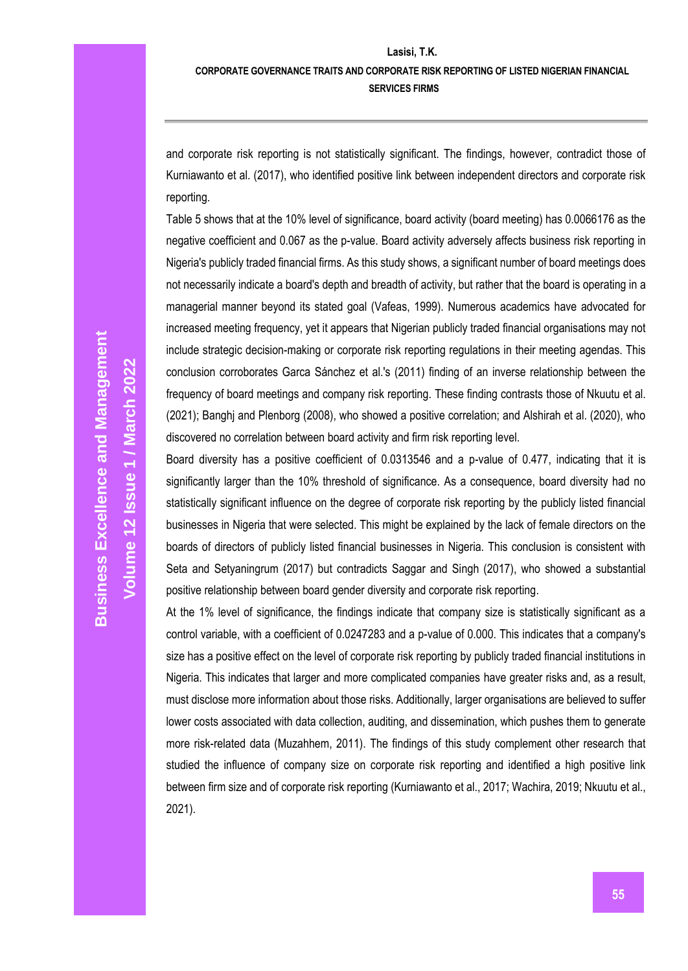#### **CORPORATE GOVERNANCE TRAITS AND CORPORATE RISK REPORTING OF LISTED NIGERIAN FINANCIAL SERVICES FIRMS**

and corporate risk reporting is not statistically significant. The findings, however, contradict those of Kurniawanto et al. (2017), who identified positive link between independent directors and corporate risk reporting.

Table 5 shows that at the 10% level of significance, board activity (board meeting) has 0.0066176 as the negative coefficient and 0.067 as the p-value. Board activity adversely affects business risk reporting in Nigeria's publicly traded financial firms. As this study shows, a significant number of board meetings does not necessarily indicate a board's depth and breadth of activity, but rather that the board is operating in a managerial manner beyond its stated goal (Vafeas, 1999). Numerous academics have advocated for increased meeting frequency, yet it appears that Nigerian publicly traded financial organisations may not include strategic decision-making or corporate risk reporting regulations in their meeting agendas. This conclusion corroborates Garca Sánchez et al.'s (2011) finding of an inverse relationship between the frequency of board meetings and company risk reporting. These finding contrasts those of Nkuutu et al. (2021); Banghj and Plenborg (2008), who showed a positive correlation; and Alshirah et al. (2020), who discovered no correlation between board activity and firm risk reporting level.

Board diversity has a positive coefficient of 0.0313546 and a p-value of 0.477, indicating that it is significantly larger than the 10% threshold of significance. As a consequence, board diversity had no statistically significant influence on the degree of corporate risk reporting by the publicly listed financial businesses in Nigeria that were selected. This might be explained by the lack of female directors on the boards of directors of publicly listed financial businesses in Nigeria. This conclusion is consistent with Seta and Setyaningrum (2017) but contradicts Saggar and Singh (2017), who showed a substantial positive relationship between board gender diversity and corporate risk reporting.

At the 1% level of significance, the findings indicate that company size is statistically significant as a control variable, with a coefficient of 0.0247283 and a p-value of 0.000. This indicates that a company's size has a positive effect on the level of corporate risk reporting by publicly traded financial institutions in Nigeria. This indicates that larger and more complicated companies have greater risks and, as a result, must disclose more information about those risks. Additionally, larger organisations are believed to suffer lower costs associated with data collection, auditing, and dissemination, which pushes them to generate more risk-related data (Muzahhem, 2011). The findings of this study complement other research that studied the influence of company size on corporate risk reporting and identified a high positive link between firm size and of corporate risk reporting (Kurniawanto et al., 2017; Wachira, 2019; Nkuutu et al., 2021).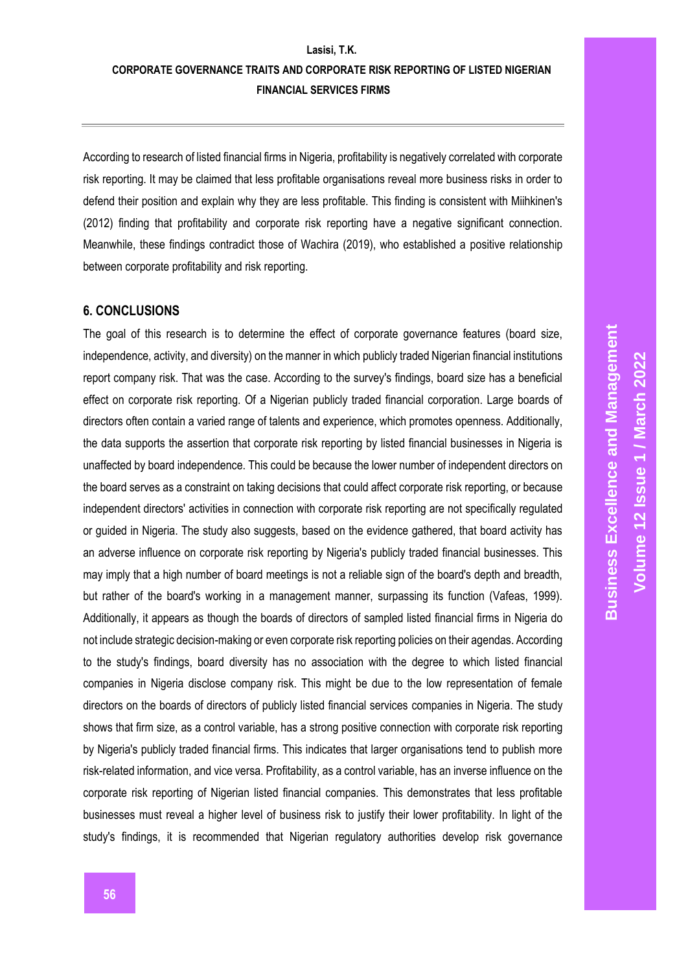## **Lasisi, T.K. CORPORATE GOVERNANCE TRAITS AND CORPORATE RISK REPORTING OF LISTED NIGERIAN FINANCIAL SERVICES FIRMS**

According to research of listed financial firms in Nigeria, profitability is negatively correlated with corporate risk reporting. It may be claimed that less profitable organisations reveal more business risks in order to defend their position and explain why they are less profitable. This finding is consistent with Miihkinen's (2012) finding that profitability and corporate risk reporting have a negative significant connection. Meanwhile, these findings contradict those of Wachira (2019), who established a positive relationship between corporate profitability and risk reporting.

#### **6. CONCLUSIONS**

The goal of this research is to determine the effect of corporate governance features (board size, independence, activity, and diversity) on the manner in which publicly traded Nigerian financial institutions report company risk. That was the case. According to the survey's findings, board size has a beneficial effect on corporate risk reporting. Of a Nigerian publicly traded financial corporation. Large boards of directors often contain a varied range of talents and experience, which promotes openness. Additionally, the data supports the assertion that corporate risk reporting by listed financial businesses in Nigeria is unaffected by board independence. This could be because the lower number of independent directors on the board serves as a constraint on taking decisions that could affect corporate risk reporting, or because independent directors' activities in connection with corporate risk reporting are not specifically regulated or guided in Nigeria. The study also suggests, based on the evidence gathered, that board activity has an adverse influence on corporate risk reporting by Nigeria's publicly traded financial businesses. This may imply that a high number of board meetings is not a reliable sign of the board's depth and breadth, but rather of the board's working in a management manner, surpassing its function (Vafeas, 1999). Additionally, it appears as though the boards of directors of sampled listed financial firms in Nigeria do not include strategic decision-making or even corporate risk reporting policies on their agendas. According to the study's findings, board diversity has no association with the degree to which listed financial companies in Nigeria disclose company risk. This might be due to the low representation of female directors on the boards of directors of publicly listed financial services companies in Nigeria. The study shows that firm size, as a control variable, has a strong positive connection with corporate risk reporting by Nigeria's publicly traded financial firms. This indicates that larger organisations tend to publish more risk-related information, and vice versa. Profitability, as a control variable, has an inverse influence on the corporate risk reporting of Nigerian listed financial companies. This demonstrates that less profitable businesses must reveal a higher level of business risk to justify their lower profitability. In light of the study's findings, it is recommended that Nigerian regulatory authorities develop risk governance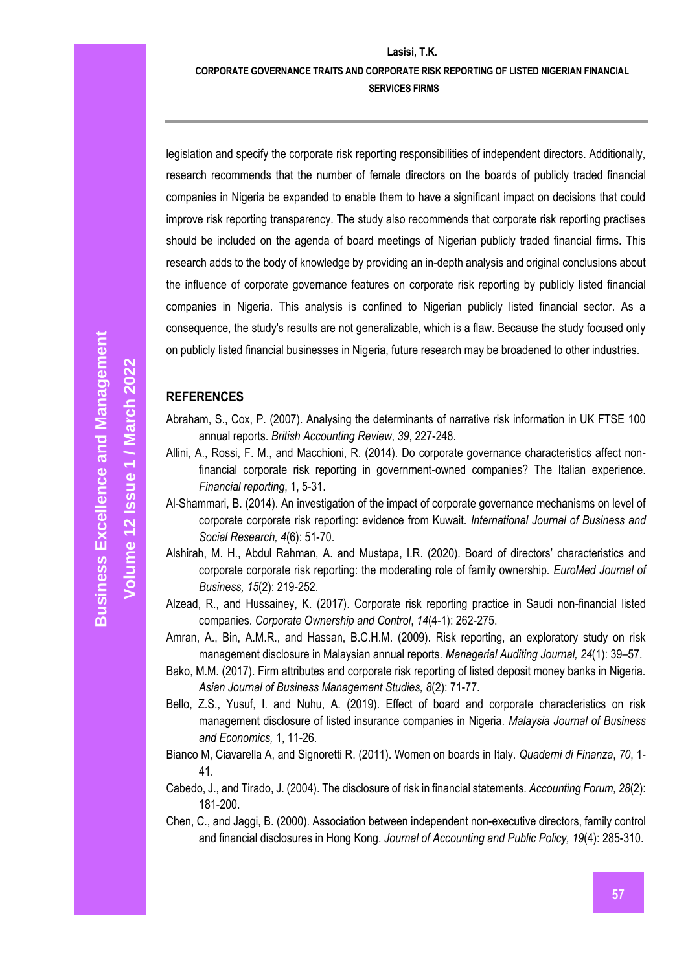# **CORPORATE GOVERNANCE TRAITS AND CORPORATE RISK REPORTING OF LISTED NIGERIAN FINANCIAL**

**SERVICES FIRMS**

legislation and specify the corporate risk reporting responsibilities of independent directors. Additionally, research recommends that the number of female directors on the boards of publicly traded financial companies in Nigeria be expanded to enable them to have a significant impact on decisions that could improve risk reporting transparency. The study also recommends that corporate risk reporting practises should be included on the agenda of board meetings of Nigerian publicly traded financial firms. This research adds to the body of knowledge by providing an in-depth analysis and original conclusions about the influence of corporate governance features on corporate risk reporting by publicly listed financial companies in Nigeria. This analysis is confined to Nigerian publicly listed financial sector. As a consequence, the study's results are not generalizable, which is a flaw. Because the study focused only on publicly listed financial businesses in Nigeria, future research may be broadened to other industries.

#### **REFERENCES**

- Abraham, S., Cox, P. (2007). Analysing the determinants of narrative risk information in UK FTSE 100 annual reports. *British Accounting Review*, *39*, 227-248.
- Allini, A., Rossi, F. M., and Macchioni, R. (2014). Do corporate governance characteristics affect nonfinancial corporate risk reporting in government-owned companies? The Italian experience. *Financial reporting*, 1, 5-31.
- Al-Shammari, B. (2014). An investigation of the impact of corporate governance mechanisms on level of corporate corporate risk reporting: evidence from Kuwait. *International Journal of Business and Social Research, 4*(6): 51-70.
- Alshirah, M. H., Abdul Rahman, A. and Mustapa, I.R. (2020). Board of directors' characteristics and corporate corporate risk reporting: the moderating role of family ownership. *EuroMed Journal of Business, 15*(2): 219-252.
- Alzead, R., and Hussainey, K. (2017). Corporate risk reporting practice in Saudi non-financial listed companies. *Corporate Ownership and Control*, *14*(4-1): 262-275.
- Amran, A., Bin, A.M.R., and Hassan, B.C.H.M. (2009). Risk reporting, an exploratory study on risk management disclosure in Malaysian annual reports. *Managerial Auditing Journal, 24*(1): 39–57.
- Bako, M.M. (2017). Firm attributes and corporate risk reporting of listed deposit money banks in Nigeria. *Asian Journal of Business Management Studies, 8*(2): 71-77.
- Bello, Z.S., Yusuf, I. and Nuhu, A. (2019). Effect of board and corporate characteristics on risk management disclosure of listed insurance companies in Nigeria. *Malaysia Journal of Business and Economics,* 1, 11-26.
- Bianco M, Ciavarella A, and Signoretti R. (2011). Women on boards in Italy. *Quaderni di Finanza*, *70*, 1- 41.
- Cabedo, J., and Tirado, J. (2004). The disclosure of risk in financial statements. *Accounting Forum, 28*(2): 181-200.
- Chen, C., and Jaggi, B. (2000). Association between independent non-executive directors, family control and financial disclosures in Hong Kong. *Journal of Accounting and Public Policy, 19*(4): 285-310.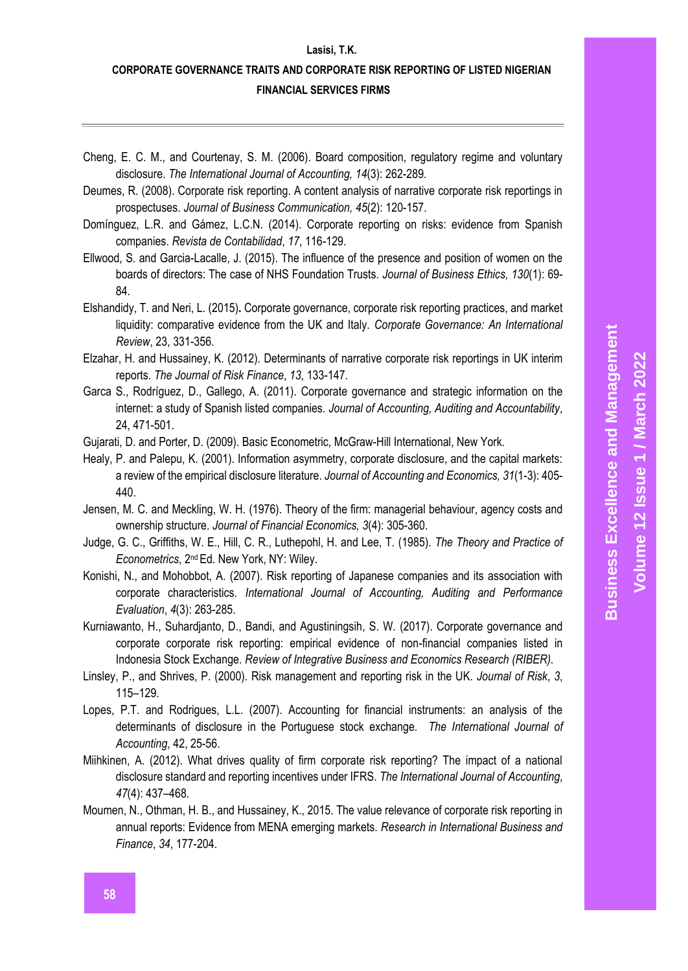### **CORPORATE GOVERNANCE TRAITS AND CORPORATE RISK REPORTING OF LISTED NIGERIAN FINANCIAL SERVICES FIRMS**

- Cheng, E. C. M., and Courtenay, S. M. (2006). Board composition, regulatory regime and voluntary disclosure. *The International Journal of Accounting, 14*(3): 262-289.
- Deumes, R. (2008). Corporate risk reporting. A content analysis of narrative corporate risk reportings in prospectuses. *Journal of Business Communication, 45*(2): 120-157.
- Domínguez, L.R. and Gámez, L.C.N. (2014). Corporate reporting on risks: evidence from Spanish companies. *Revista de Contabilidad*, *17*, 116-129.
- Ellwood, S. and Garcia-Lacalle, J. (2015). The influence of the presence and position of women on the boards of directors: The case of NHS Foundation Trusts. *Journal of Business Ethics, 130*(1): 69- 84.
- Elshandidy, T. and Neri, L. (2015)**.** Corporate governance, corporate risk reporting practices, and market liquidity: comparative evidence from the UK and Italy. *Corporate Governance: An International Review*, 23, 331-356.
- Elzahar, H. and Hussainey, K. (2012). Determinants of narrative corporate risk reportings in UK interim reports. *The Journal of Risk Finance*, *13*, 133-147.
- Garca S., Rodríguez, D., Gallego, A. (2011). Corporate governance and strategic information on the internet: a study of Spanish listed companies. *Journal of Accounting, Auditing and Accountability*, 24, 471-501.
- Gujarati, D. and Porter, D. (2009). Basic Econometric, McGraw-Hill International, New York.
- Healy, P. and Palepu, K. (2001). Information asymmetry, corporate disclosure, and the capital markets: a review of the empirical disclosure literature. *Journal of Accounting and Economics, 31*(1-3): 405- 440.
- Jensen, M. C. and Meckling, W. H. (1976). Theory of the firm: managerial behaviour, agency costs and ownership structure. *Journal of Financial Economics, 3*(4): 305-360.
- Judge, G. C., Griffiths, W. E., Hill, C. R., Luthepohl, H. and Lee, T. (1985). *The Theory and Practice of Econometrics*, 2nd Ed. New York, NY: Wiley.
- Konishi, N., and Mohobbot, A. (2007). Risk reporting of Japanese companies and its association with corporate characteristics. *International Journal of Accounting, Auditing and Performance Evaluation*, *4*(3): 263-285.
- Kurniawanto, H., Suhardjanto, D., Bandi, and Agustiningsih, S. W. (2017). Corporate governance and corporate corporate risk reporting: empirical evidence of non-financial companies listed in Indonesia Stock Exchange. *Review of Integrative Business and Economics Research (RIBER)*.
- Linsley, P., and Shrives, P. (2000). Risk management and reporting risk in the UK. *Journal of Risk*, *3*, 115–129.
- Lopes, P.T. and Rodrigues, L.L. (2007). Accounting for financial instruments: an analysis of the determinants of disclosure in the Portuguese stock exchange. *The International Journal of Accounting*, 42, 25-56.
- Miihkinen, A. (2012). What drives quality of firm corporate risk reporting? The impact of a national disclosure standard and reporting incentives under IFRS. *The International Journal of Accounting*, *47*(4): 437–468.
- Moumen, N., Othman, H. B., and Hussainey, K., 2015. The value relevance of corporate risk reporting in annual reports: Evidence from MENA emerging markets. *Research in International Business and Finance*, *34*, 177-204.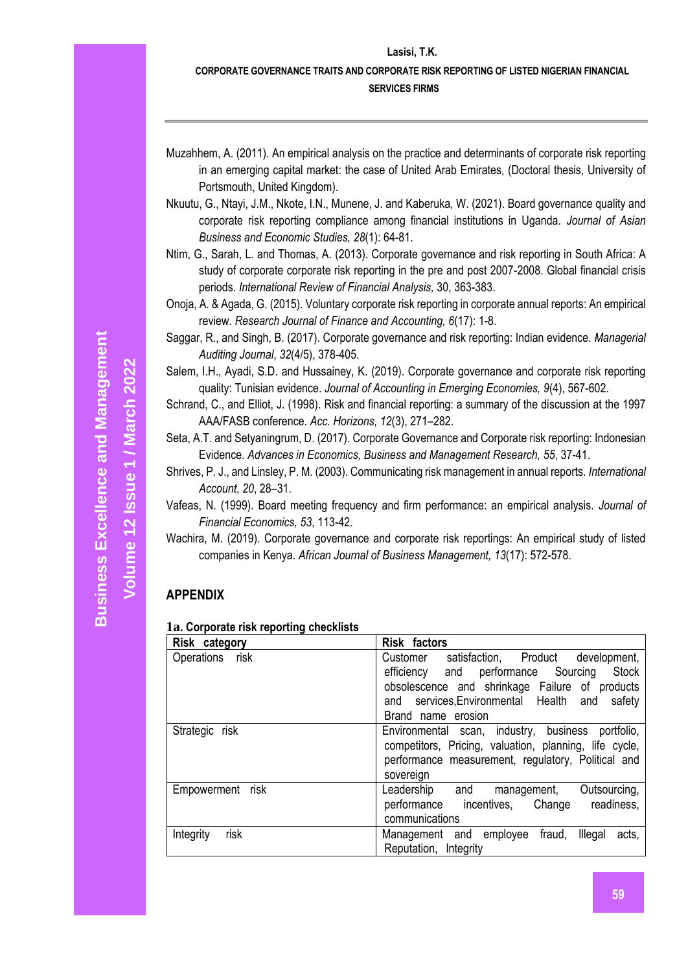# **CORPORATE GOVERNANCE TRAITS AND CORPORATE RISK REPORTING OF LISTED NIGERIAN FINANCIAL**

#### **SERVICES FIRMS**

- Muzahhem, A. (2011). An empirical analysis on the practice and determinants of corporate risk reporting in an emerging capital market: the case of United Arab Emirates, (Doctoral thesis, University of Portsmouth, United Kingdom).
- Nkuutu, G., Ntayi, J.M., Nkote, I.N., Munene, J. and Kaberuka, W. (2021). Board governance quality and corporate risk reporting compliance among financial institutions in Uganda. *Journal of Asian Business and Economic Studies, 28*(1): 64-81.
- Ntim, G., Sarah, L. and Thomas, A. (2013). Corporate governance and risk reporting in South Africa: A study of corporate corporate risk reporting in the pre and post 2007-2008. Global financial crisis periods. *International Review of Financial Analysis,* 30, 363-383.
- Onoja, A. & Agada, G. (2015). Voluntary corporate risk reporting in corporate annual reports: An empirical review. *Research Journal of Finance and Accounting, 6*(17): 1-8.
- Saggar, R., and Singh, B. (2017). Corporate governance and risk reporting: Indian evidence. *Managerial Auditing Journal*, *32*(4/5), 378-405.
- Salem, I.H., Ayadi, S.D. and Hussainey, K. (2019). Corporate governance and corporate risk reporting quality: Tunisian evidence. *Journal of Accounting in Emerging Economies, 9*(4), 567-602.
- Schrand, C., and Elliot, J. (1998). Risk and financial reporting: a summary of the discussion at the 1997 AAA/FASB conference. *Acc. Horizons, 12*(3), 271–282.
- Seta, A.T. and Setyaningrum, D. (2017). Corporate Governance and Corporate risk reporting: Indonesian Evidence. *Advances in Economics, Business and Management Research, 55*, 37-41.
- Shrives, P. J., and Linsley, P. M. (2003). Communicating risk management in annual reports. *International Account*, *20*, 28–31.
- Vafeas, N. (1999). Board meeting frequency and firm performance: an empirical analysis. *Journal of Financial Economics, 53*, 113-42.
- Wachira, M. (2019). Corporate governance and corporate risk reportings: An empirical study of listed companies in Kenya. *African Journal of Business Management, 13*(17): 572-578.

### **APPENDIX**

### **1a. Corporate risk reporting checklists**

| Risk category     | <b>Risk factors</b>                                                                                                                                                                                                                        |
|-------------------|--------------------------------------------------------------------------------------------------------------------------------------------------------------------------------------------------------------------------------------------|
| Operations risk   | satisfaction, Product<br>development,<br>Customer<br>efficiency and performance Sourcing<br><b>Stock</b><br>obsolescence and shrinkage Failure of products<br>services, Environmental Health<br>safety<br>and<br>and<br>Brand name erosion |
| Strategic risk    | Environmental scan, industry, business portfolio,<br>competitors, Pricing, valuation, planning, life cycle,<br>performance measurement, regulatory, Political and<br>sovereign                                                             |
| Empowerment risk  | Leadership and<br>Outsourcing,<br>management,<br>readiness,<br>performance incentives, Change<br>communications                                                                                                                            |
| risk<br>Integrity | Management and employee fraud,<br>Illegal<br>acts,<br>Reputation, Integrity                                                                                                                                                                |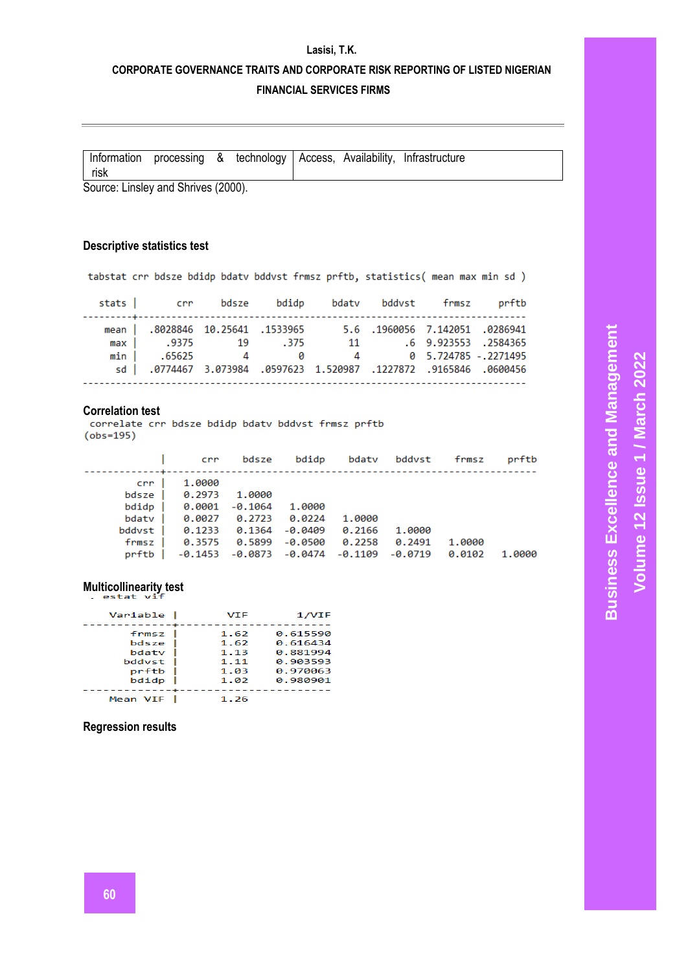### **CORPORATE GOVERNANCE TRAITS AND CORPORATE RISK REPORTING OF LISTED NIGERIAN FINANCIAL SERVICES FIRMS**

| processing & technology   Access, Availability, Infrastructure<br>Information<br>risk |
|---------------------------------------------------------------------------------------|
|---------------------------------------------------------------------------------------|

Source: Linsley and Shrives (2000).

#### **Descriptive statistics test**

tabstat crr bdsze bdidp bdatv bddvst frmsz prftb, statistics( mean max min sd )

|  |  |  | stats crr bdsze bdidp bdatv bddvst frmsz prftb                   |  |
|--|--|--|------------------------------------------------------------------|--|
|  |  |  | 0286941. 1960056 7.142051 .1533965 . 8028846 10.25641 .1533965   |  |
|  |  |  | 11 .9375 .2584365 11 .375 11 .6 9.923553 .2584365                |  |
|  |  |  | min   .65625  4  0  4  0  5.724785 -.2271495                     |  |
|  |  |  | 660456. 065846. 1227872. 1897623 1.520987. 0774467 3.073984. jsd |  |
|  |  |  |                                                                  |  |

**Correlation test**<br>correlate crr bdsze bdidp bdaty bddyst frmsz prftb  $(obs=195)$ 

|         | crr            | bdsze  | bdidp                                | ---------------------- | bdaty bddyst frmsz |        | prftb  |
|---------|----------------|--------|--------------------------------------|------------------------|--------------------|--------|--------|
| crr     | 1,0000         |        |                                      |                        |                    |        |        |
| bdsze l | 0.2973         | 1.0000 |                                      |                        |                    |        |        |
| bdidp   | 0.0001 -0.1064 |        | 1.0000                               |                        |                    |        |        |
| bdaty   | 0.0027         | 0.2723 | 0.0224                               | 1.0000                 |                    |        |        |
| bddyst  | 0.1233         |        | $0.1364 - 0.0409$                    | 0.2166                 | 1.0000             |        |        |
| frmsz   | 0.3575         |        | $0.5899 - 0.0500$                    | 0.2258                 | 0.2491             | 1.0000 |        |
| prftb   |                |        | $-0.1453 - 0.0873 - 0.0474 - 0.1109$ |                        | -0.0719            | 0.0102 | 1.0000 |

# **Multicollinearity test**

| Variable                                            | VIF                                          | 1/VIF                                                                |
|-----------------------------------------------------|----------------------------------------------|----------------------------------------------------------------------|
| frmsz<br>bdsze<br>bdaty<br>bddvst<br>prftb<br>bdidp | 1.62<br>1.62<br>1.13<br>1.11<br>1.03<br>1.02 | 0.615590<br>0.616434<br>0.881994<br>0.903593<br>0.970063<br>0.980901 |
| Mean VIF                                            | 1.26                                         |                                                                      |

#### **Regression results**

**Business Excellence and Management Business Excellence and Management** Volume 12 Issue 1 / March 2022 **Volume 12 Issue 1 / March 2022**